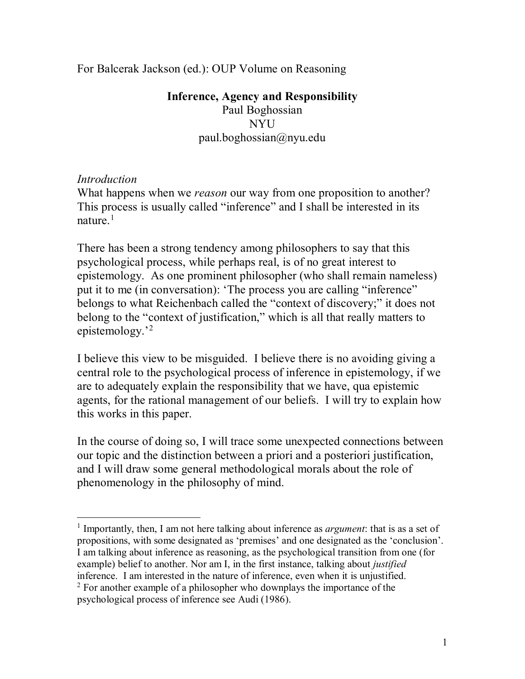For Balcerak Jackson (ed.): OUP Volume on Reasoning

# **Inference, Agency and Responsibility**  Paul Boghossian NYU paul.boghossian@nyu.edu

## *Introduction*

What happens when we *reason* our way from one proposition to another? This process is usually called "inference" and I shall be interested in its nature. $^1$  $^1$ 

There has been a strong tendency among philosophers to say that this psychological process, while perhaps real, is of no great interest to epistemology. As one prominent philosopher (who shall remain nameless) put it to me (in conversation): 'The process you are calling "inference" belongs to what Reichenbach called the "context of discovery;" it does not belong to the "context of justification," which is all that really matters to epistemology.'[2](#page-0-1)

I believe this view to be misguided. I believe there is no avoiding giving a central role to the psychological process of inference in epistemology, if we are to adequately explain the responsibility that we have, qua epistemic agents, for the rational management of our beliefs. I will try to explain how this works in this paper.

In the course of doing so, I will trace some unexpected connections between our topic and the distinction between a priori and a posteriori justification, and I will draw some general methodological morals about the role of phenomenology in the philosophy of mind.

<span id="page-0-1"></span><span id="page-0-0"></span> <sup>1</sup> Importantly, then, I am not here talking about inference as *argument*: that is as a set of propositions, with some designated as 'premises' and one designated as the 'conclusion'. I am talking about inference as reasoning, as the psychological transition from one (for example) belief to another. Nor am I, in the first instance, talking about *justified* inference. I am interested in the nature of inference, even when it is unjustified.  $2^2$  For another example of a philosopher who downplays the importance of the psychological process of inference see Audi (1986).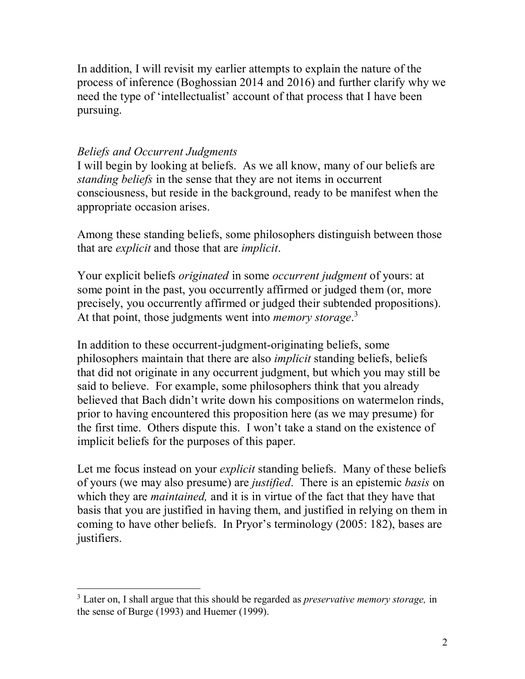In addition, I will revisit my earlier attempts to explain the nature of the process of inference (Boghossian 2014 and 2016) and further clarify why we need the type of 'intellectualist' account of that process that I have been pursuing.

#### *Beliefs and Occurrent Judgments*

I will begin by looking at beliefs. As we all know, many of our beliefs are *standing beliefs* in the sense that they are not items in occurrent consciousness, but reside in the background, ready to be manifest when the appropriate occasion arises.

Among these standing beliefs, some philosophers distinguish between those that are *explicit* and those that are *implicit*.

Your explicit beliefs *originated* in some *occurrent judgment* of yours: at some point in the past, you occurrently affirmed or judged them (or, more precisely, you occurrently affirmed or judged their subtended propositions). At that point, those judgments went into *memory storage*. [3](#page-1-0)

In addition to these occurrent-judgment-originating beliefs, some philosophers maintain that there are also *implicit* standing beliefs, beliefs that did not originate in any occurrent judgment, but which you may still be said to believe. For example, some philosophers think that you already believed that Bach didn't write down his compositions on watermelon rinds, prior to having encountered this proposition here (as we may presume) for the first time. Others dispute this. I won't take a stand on the existence of implicit beliefs for the purposes of this paper.

Let me focus instead on your *explicit* standing beliefs. Many of these beliefs of yours (we may also presume) are *justified*. There is an epistemic *basis* on which they are *maintained,* and it is in virtue of the fact that they have that basis that you are justified in having them, and justified in relying on them in coming to have other beliefs. In Pryor's terminology (2005: 182), bases are justifiers.

<span id="page-1-0"></span> <sup>3</sup> Later on, I shall argue that this should be regarded as *preservative memory storage,* in the sense of Burge (1993) and Huemer (1999).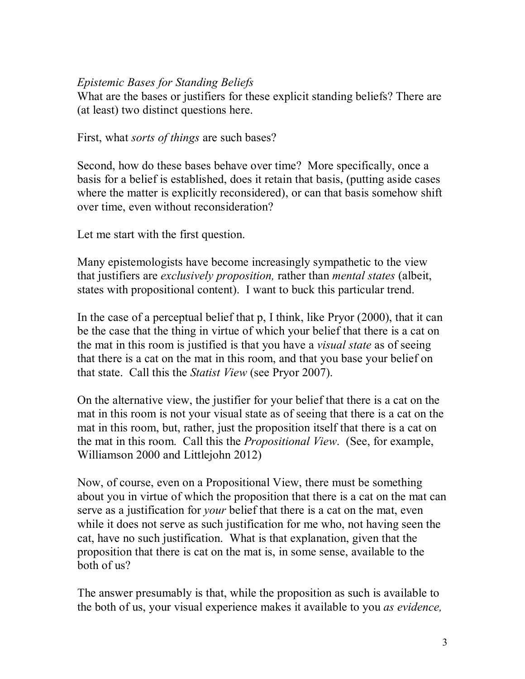## *Epistemic Bases for Standing Beliefs*

What are the bases or justifiers for these explicit standing beliefs? There are (at least) two distinct questions here.

First, what *sorts of things* are such bases?

Second, how do these bases behave over time? More specifically, once a basis for a belief is established, does it retain that basis, (putting aside cases where the matter is explicitly reconsidered), or can that basis somehow shift over time, even without reconsideration?

Let me start with the first question.

Many epistemologists have become increasingly sympathetic to the view that justifiers are *exclusively proposition,* rather than *mental states* (albeit, states with propositional content). I want to buck this particular trend.

In the case of a perceptual belief that p, I think, like Pryor (2000), that it can be the case that the thing in virtue of which your belief that there is a cat on the mat in this room is justified is that you have a *visual state* as of seeing that there is a cat on the mat in this room, and that you base your belief on that state. Call this the *Statist View* (see Pryor 2007).

On the alternative view, the justifier for your belief that there is a cat on the mat in this room is not your visual state as of seeing that there is a cat on the mat in this room, but, rather, just the proposition itself that there is a cat on the mat in this room. Call this the *Propositional View*. (See, for example, Williamson 2000 and Littlejohn 2012)

Now, of course, even on a Propositional View, there must be something about you in virtue of which the proposition that there is a cat on the mat can serve as a justification for *your* belief that there is a cat on the mat, even while it does not serve as such justification for me who, not having seen the cat, have no such justification. What is that explanation, given that the proposition that there is cat on the mat is, in some sense, available to the both of us?

The answer presumably is that, while the proposition as such is available to the both of us, your visual experience makes it available to you *as evidence,*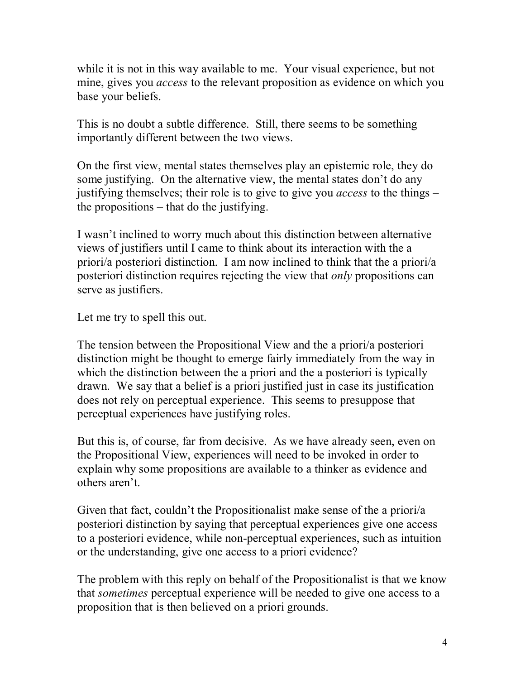while it is not in this way available to me. Your visual experience, but not mine, gives you *access* to the relevant proposition as evidence on which you base your beliefs.

This is no doubt a subtle difference. Still, there seems to be something importantly different between the two views.

On the first view, mental states themselves play an epistemic role, they do some justifying. On the alternative view, the mental states don't do any justifying themselves; their role is to give to give you *access* to the things – the propositions – that do the justifying.

I wasn't inclined to worry much about this distinction between alternative views of justifiers until I came to think about its interaction with the a priori/a posteriori distinction. I am now inclined to think that the a priori/a posteriori distinction requires rejecting the view that *only* propositions can serve as justifiers.

Let me try to spell this out.

The tension between the Propositional View and the a priori/a posteriori distinction might be thought to emerge fairly immediately from the way in which the distinction between the a priori and the a posteriori is typically drawn. We say that a belief is a priori justified just in case its justification does not rely on perceptual experience. This seems to presuppose that perceptual experiences have justifying roles.

But this is, of course, far from decisive. As we have already seen, even on the Propositional View, experiences will need to be invoked in order to explain why some propositions are available to a thinker as evidence and others aren't.

Given that fact, couldn't the Propositionalist make sense of the a priori/a posteriori distinction by saying that perceptual experiences give one access to a posteriori evidence, while non-perceptual experiences, such as intuition or the understanding, give one access to a priori evidence?

The problem with this reply on behalf of the Propositionalist is that we know that *sometimes* perceptual experience will be needed to give one access to a proposition that is then believed on a priori grounds.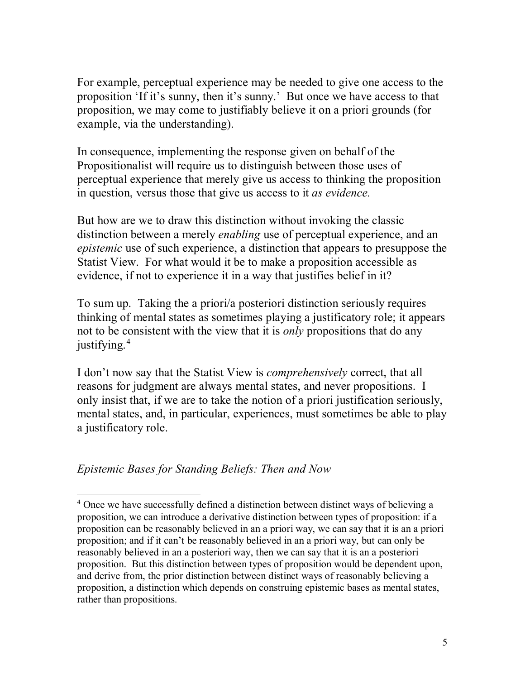For example, perceptual experience may be needed to give one access to the proposition 'If it's sunny, then it's sunny.' But once we have access to that proposition, we may come to justifiably believe it on a priori grounds (for example, via the understanding).

In consequence, implementing the response given on behalf of the Propositionalist will require us to distinguish between those uses of perceptual experience that merely give us access to thinking the proposition in question, versus those that give us access to it *as evidence.* 

But how are we to draw this distinction without invoking the classic distinction between a merely *enabling* use of perceptual experience, and an *epistemic* use of such experience, a distinction that appears to presuppose the Statist View. For what would it be to make a proposition accessible as evidence, if not to experience it in a way that justifies belief in it?

To sum up. Taking the a priori/a posteriori distinction seriously requires thinking of mental states as sometimes playing a justificatory role; it appears not to be consistent with the view that it is *only* propositions that do any justifying.<sup>[4](#page-4-0)</sup>

I don't now say that the Statist View is *comprehensively* correct, that all reasons for judgment are always mental states, and never propositions. I only insist that, if we are to take the notion of a priori justification seriously, mental states, and, in particular, experiences, must sometimes be able to play a justificatory role.

# *Epistemic Bases for Standing Beliefs: Then and Now*

<span id="page-4-0"></span><sup>&</sup>lt;sup>4</sup> Once we have successfully defined a distinction between distinct ways of believing a proposition, we can introduce a derivative distinction between types of proposition: if a proposition can be reasonably believed in an a priori way, we can say that it is an a priori proposition; and if it can't be reasonably believed in an a priori way, but can only be reasonably believed in an a posteriori way, then we can say that it is an a posteriori proposition. But this distinction between types of proposition would be dependent upon, and derive from, the prior distinction between distinct ways of reasonably believing a proposition, a distinction which depends on construing epistemic bases as mental states, rather than propositions.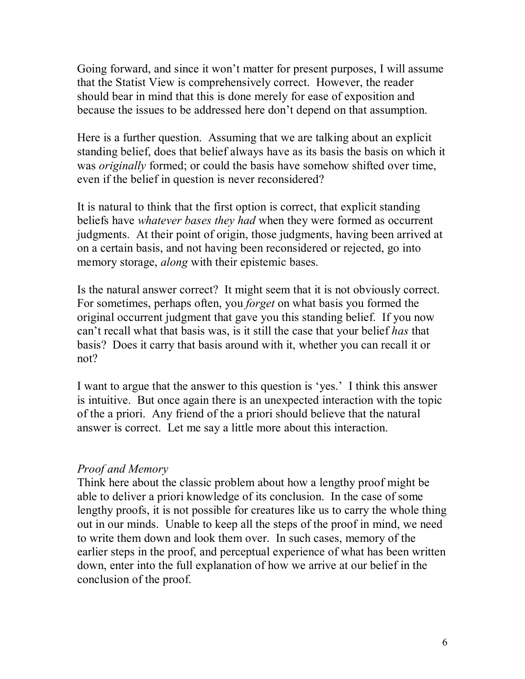Going forward, and since it won't matter for present purposes, I will assume that the Statist View is comprehensively correct. However, the reader should bear in mind that this is done merely for ease of exposition and because the issues to be addressed here don't depend on that assumption.

Here is a further question. Assuming that we are talking about an explicit standing belief, does that belief always have as its basis the basis on which it was *originally* formed; or could the basis have somehow shifted over time, even if the belief in question is never reconsidered?

It is natural to think that the first option is correct, that explicit standing beliefs have *whatever bases they had* when they were formed as occurrent judgments. At their point of origin, those judgments, having been arrived at on a certain basis, and not having been reconsidered or rejected, go into memory storage, *along* with their epistemic bases.

Is the natural answer correct? It might seem that it is not obviously correct. For sometimes, perhaps often, you *forget* on what basis you formed the original occurrent judgment that gave you this standing belief. If you now can't recall what that basis was, is it still the case that your belief *has* that basis? Does it carry that basis around with it, whether you can recall it or not?

I want to argue that the answer to this question is 'yes.' I think this answer is intuitive. But once again there is an unexpected interaction with the topic of the a priori. Any friend of the a priori should believe that the natural answer is correct. Let me say a little more about this interaction.

## *Proof and Memory*

Think here about the classic problem about how a lengthy proof might be able to deliver a priori knowledge of its conclusion. In the case of some lengthy proofs, it is not possible for creatures like us to carry the whole thing out in our minds. Unable to keep all the steps of the proof in mind, we need to write them down and look them over. In such cases, memory of the earlier steps in the proof, and perceptual experience of what has been written down, enter into the full explanation of how we arrive at our belief in the conclusion of the proof.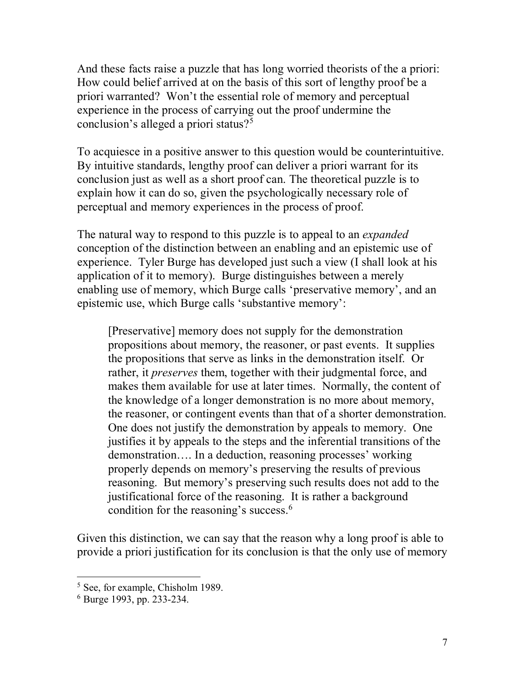And these facts raise a puzzle that has long worried theorists of the a priori: How could belief arrived at on the basis of this sort of lengthy proof be a priori warranted? Won't the essential role of memory and perceptual experience in the process of carrying out the proof undermine the conclusion's alleged a priori status?[5](#page-6-0)

To acquiesce in a positive answer to this question would be counterintuitive. By intuitive standards, lengthy proof can deliver a priori warrant for its conclusion just as well as a short proof can. The theoretical puzzle is to explain how it can do so, given the psychologically necessary role of perceptual and memory experiences in the process of proof.

The natural way to respond to this puzzle is to appeal to an *expanded* conception of the distinction between an enabling and an epistemic use of experience. Tyler Burge has developed just such a view (I shall look at his application of it to memory). Burge distinguishes between a merely enabling use of memory, which Burge calls 'preservative memory', and an epistemic use, which Burge calls 'substantive memory':

[Preservative] memory does not supply for the demonstration propositions about memory, the reasoner, or past events. It supplies the propositions that serve as links in the demonstration itself. Or rather, it *preserves* them, together with their judgmental force, and makes them available for use at later times. Normally, the content of the knowledge of a longer demonstration is no more about memory, the reasoner, or contingent events than that of a shorter demonstration. One does not justify the demonstration by appeals to memory. One justifies it by appeals to the steps and the inferential transitions of the demonstration…. In a deduction, reasoning processes' working properly depends on memory's preserving the results of previous reasoning. But memory's preserving such results does not add to the justificational force of the reasoning. It is rather a background condition for the reasoning's success.<sup>[6](#page-6-1)</sup>

Given this distinction, we can say that the reason why a long proof is able to provide a priori justification for its conclusion is that the only use of memory

<span id="page-6-0"></span><sup>&</sup>lt;sup>5</sup> See, for example, Chisholm 1989.

<span id="page-6-1"></span> $6$  Burge 1993, pp. 233-234.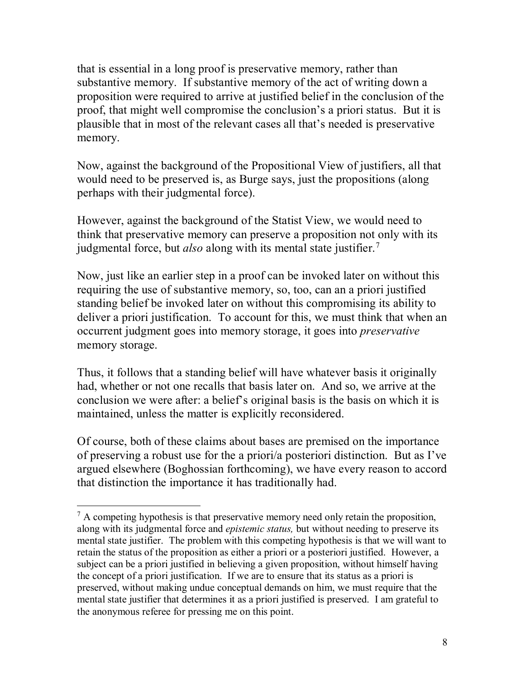that is essential in a long proof is preservative memory, rather than substantive memory. If substantive memory of the act of writing down a proposition were required to arrive at justified belief in the conclusion of the proof, that might well compromise the conclusion's a priori status. But it is plausible that in most of the relevant cases all that's needed is preservative memory.

Now, against the background of the Propositional View of justifiers, all that would need to be preserved is, as Burge says, just the propositions (along perhaps with their judgmental force).

However, against the background of the Statist View, we would need to think that preservative memory can preserve a proposition not only with its judgmental force, but *also* along with its mental state justifier. [7](#page-7-0)

Now, just like an earlier step in a proof can be invoked later on without this requiring the use of substantive memory, so, too, can an a priori justified standing belief be invoked later on without this compromising its ability to deliver a priori justification. To account for this, we must think that when an occurrent judgment goes into memory storage, it goes into *preservative* memory storage.

Thus, it follows that a standing belief will have whatever basis it originally had, whether or not one recalls that basis later on. And so, we arrive at the conclusion we were after: a belief's original basis is the basis on which it is maintained, unless the matter is explicitly reconsidered.

Of course, both of these claims about bases are premised on the importance of preserving a robust use for the a priori/a posteriori distinction. But as I've argued elsewhere (Boghossian forthcoming), we have every reason to accord that distinction the importance it has traditionally had.

<span id="page-7-0"></span> $<sup>7</sup>$  A competing hypothesis is that preservative memory need only retain the proposition,</sup> along with its judgmental force and *epistemic status,* but without needing to preserve its mental state justifier. The problem with this competing hypothesis is that we will want to retain the status of the proposition as either a priori or a posteriori justified. However, a subject can be a priori justified in believing a given proposition, without himself having the concept of a priori justification. If we are to ensure that its status as a priori is preserved, without making undue conceptual demands on him, we must require that the mental state justifier that determines it as a priori justified is preserved. I am grateful to the anonymous referee for pressing me on this point.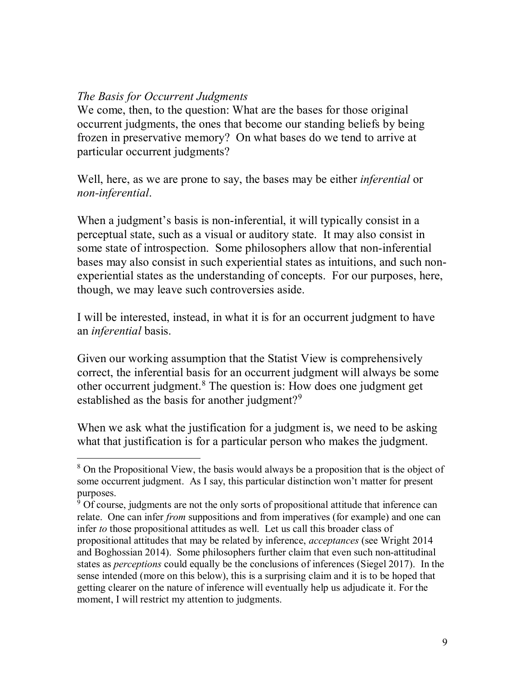## *The Basis for Occurrent Judgments*

We come, then, to the question: What are the bases for those original occurrent judgments, the ones that become our standing beliefs by being frozen in preservative memory? On what bases do we tend to arrive at particular occurrent judgments?

Well, here, as we are prone to say, the bases may be either *inferential* or *non-inferential*.

When a judgment's basis is non-inferential, it will typically consist in a perceptual state, such as a visual or auditory state. It may also consist in some state of introspection. Some philosophers allow that non-inferential bases may also consist in such experiential states as intuitions, and such nonexperiential states as the understanding of concepts. For our purposes, here, though, we may leave such controversies aside.

I will be interested, instead, in what it is for an occurrent judgment to have an *inferential* basis.

Given our working assumption that the Statist View is comprehensively correct, the inferential basis for an occurrent judgment will always be some other occurrent judgment. [8](#page-8-0) The question is: How does one judgment get established as the basis for another judgment?<sup>[9](#page-8-1)</sup>

When we ask what the justification for a judgment is, we need to be asking what that justification is for a particular person who makes the judgment.

<span id="page-8-0"></span><sup>&</sup>lt;sup>8</sup> On the Propositional View, the basis would always be a proposition that is the object of some occurrent judgment. As I say, this particular distinction won't matter for present purposes.

<span id="page-8-1"></span> $\frac{1}{9}$  Of course, judgments are not the only sorts of propositional attitude that inference can relate. One can infer *from* suppositions and from imperatives (for example) and one can infer *to* those propositional attitudes as well. Let us call this broader class of propositional attitudes that may be related by inference, *acceptances* (see Wright 2014 and Boghossian 2014). Some philosophers further claim that even such non-attitudinal states as *perceptions* could equally be the conclusions of inferences (Siegel 2017). In the sense intended (more on this below), this is a surprising claim and it is to be hoped that getting clearer on the nature of inference will eventually help us adjudicate it. For the moment, I will restrict my attention to judgments.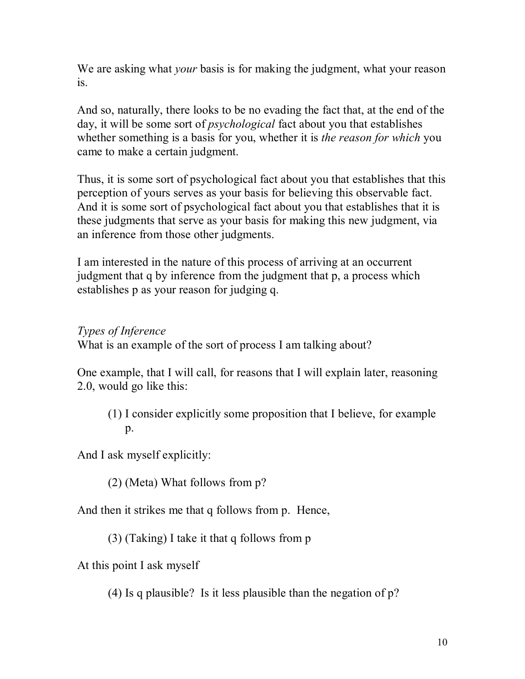We are asking what *your* basis is for making the judgment, what your reason is.

And so, naturally, there looks to be no evading the fact that, at the end of the day, it will be some sort of *psychological* fact about you that establishes whether something is a basis for you, whether it is *the reason for which* you came to make a certain judgment.

Thus, it is some sort of psychological fact about you that establishes that this perception of yours serves as your basis for believing this observable fact. And it is some sort of psychological fact about you that establishes that it is these judgments that serve as your basis for making this new judgment, via an inference from those other judgments.

I am interested in the nature of this process of arriving at an occurrent judgment that q by inference from the judgment that p, a process which establishes p as your reason for judging q.

# *Types of Inference*

What is an example of the sort of process I am talking about?

One example, that I will call, for reasons that I will explain later, reasoning 2.0, would go like this:

(1) I consider explicitly some proposition that I believe, for example p.

And I ask myself explicitly:

(2) (Meta) What follows from p?

And then it strikes me that q follows from p. Hence,

(3) (Taking) I take it that q follows from p

At this point I ask myself

(4) Is q plausible? Is it less plausible than the negation of p?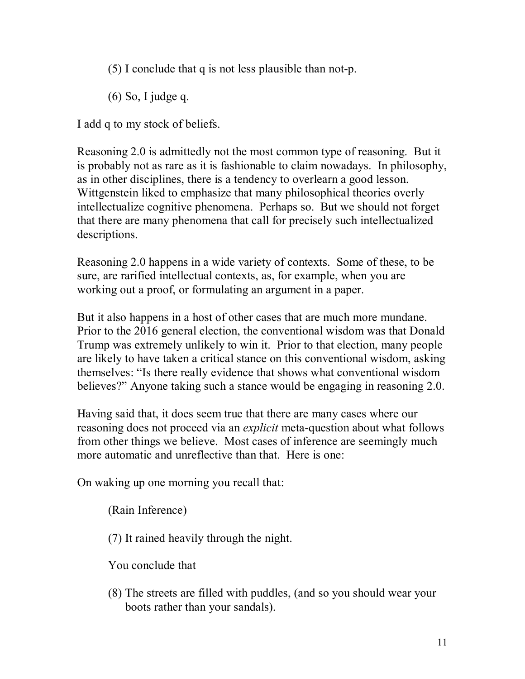- (5) I conclude that q is not less plausible than not-p.
- (6) So, I judge q.

I add q to my stock of beliefs.

Reasoning 2.0 is admittedly not the most common type of reasoning. But it is probably not as rare as it is fashionable to claim nowadays. In philosophy, as in other disciplines, there is a tendency to overlearn a good lesson. Wittgenstein liked to emphasize that many philosophical theories overly intellectualize cognitive phenomena. Perhaps so. But we should not forget that there are many phenomena that call for precisely such intellectualized descriptions.

Reasoning 2.0 happens in a wide variety of contexts. Some of these, to be sure, are rarified intellectual contexts, as, for example, when you are working out a proof, or formulating an argument in a paper.

But it also happens in a host of other cases that are much more mundane. Prior to the 2016 general election, the conventional wisdom was that Donald Trump was extremely unlikely to win it. Prior to that election, many people are likely to have taken a critical stance on this conventional wisdom, asking themselves: "Is there really evidence that shows what conventional wisdom believes?" Anyone taking such a stance would be engaging in reasoning 2.0.

Having said that, it does seem true that there are many cases where our reasoning does not proceed via an *explicit* meta-question about what follows from other things we believe. Most cases of inference are seemingly much more automatic and unreflective than that. Here is one:

On waking up one morning you recall that:

(Rain Inference)

(7) It rained heavily through the night.

You conclude that

(8) The streets are filled with puddles, (and so you should wear your boots rather than your sandals).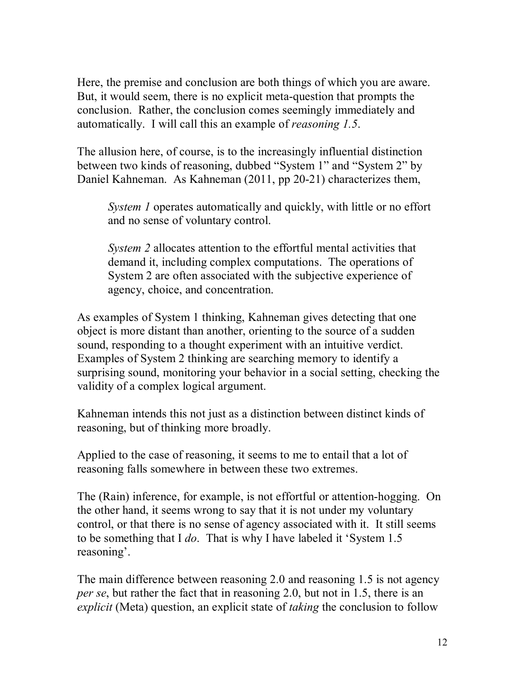Here, the premise and conclusion are both things of which you are aware. But, it would seem, there is no explicit meta-question that prompts the conclusion. Rather, the conclusion comes seemingly immediately and automatically. I will call this an example of *reasoning 1.5*.

The allusion here, of course, is to the increasingly influential distinction between two kinds of reasoning, dubbed "System 1" and "System 2" by Daniel Kahneman. As Kahneman (2011, pp 20-21) characterizes them,

*System 1* operates automatically and quickly, with little or no effort and no sense of voluntary control.

*System 2* allocates attention to the effortful mental activities that demand it, including complex computations. The operations of System 2 are often associated with the subjective experience of agency, choice, and concentration.

As examples of System 1 thinking, Kahneman gives detecting that one object is more distant than another, orienting to the source of a sudden sound, responding to a thought experiment with an intuitive verdict. Examples of System 2 thinking are searching memory to identify a surprising sound, monitoring your behavior in a social setting, checking the validity of a complex logical argument.

Kahneman intends this not just as a distinction between distinct kinds of reasoning, but of thinking more broadly.

Applied to the case of reasoning, it seems to me to entail that a lot of reasoning falls somewhere in between these two extremes.

The (Rain) inference, for example, is not effortful or attention-hogging. On the other hand, it seems wrong to say that it is not under my voluntary control, or that there is no sense of agency associated with it. It still seems to be something that I *do*. That is why I have labeled it 'System 1.5 reasoning'.

The main difference between reasoning 2.0 and reasoning 1.5 is not agency *per se*, but rather the fact that in reasoning 2.0, but not in 1.5, there is an *explicit* (Meta) question, an explicit state of *taking* the conclusion to follow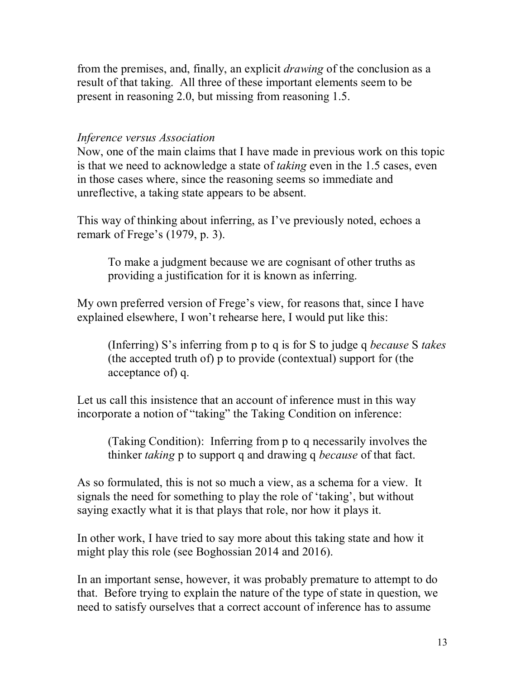from the premises, and, finally, an explicit *drawing* of the conclusion as a result of that taking. All three of these important elements seem to be present in reasoning 2.0, but missing from reasoning 1.5.

#### *Inference versus Association*

Now, one of the main claims that I have made in previous work on this topic is that we need to acknowledge a state of *taking* even in the 1.5 cases, even in those cases where, since the reasoning seems so immediate and unreflective, a taking state appears to be absent.

This way of thinking about inferring, as I've previously noted, echoes a remark of Frege's (1979, p. 3).

To make a judgment because we are cognisant of other truths as providing a justification for it is known as inferring.

My own preferred version of Frege's view, for reasons that, since I have explained elsewhere, I won't rehearse here, I would put like this:

(Inferring) S's inferring from p to q is for S to judge q *because* S *takes* (the accepted truth of) p to provide (contextual) support for (the acceptance of) q.

Let us call this insistence that an account of inference must in this way incorporate a notion of "taking" the Taking Condition on inference:

(Taking Condition): Inferring from p to q necessarily involves the thinker *taking* p to support q and drawing q *because* of that fact.

As so formulated, this is not so much a view, as a schema for a view. It signals the need for something to play the role of 'taking', but without saying exactly what it is that plays that role, nor how it plays it.

In other work, I have tried to say more about this taking state and how it might play this role (see Boghossian 2014 and 2016).

In an important sense, however, it was probably premature to attempt to do that. Before trying to explain the nature of the type of state in question, we need to satisfy ourselves that a correct account of inference has to assume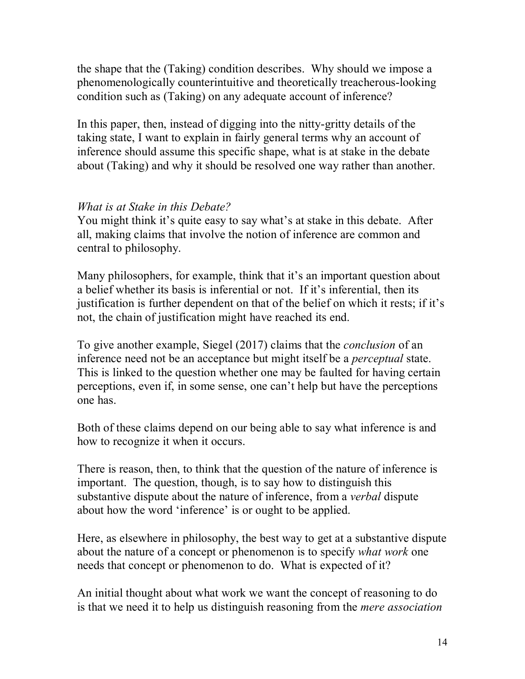the shape that the (Taking) condition describes. Why should we impose a phenomenologically counterintuitive and theoretically treacherous-looking condition such as (Taking) on any adequate account of inference?

In this paper, then, instead of digging into the nitty-gritty details of the taking state, I want to explain in fairly general terms why an account of inference should assume this specific shape, what is at stake in the debate about (Taking) and why it should be resolved one way rather than another.

## *What is at Stake in this Debate?*

You might think it's quite easy to say what's at stake in this debate. After all, making claims that involve the notion of inference are common and central to philosophy.

Many philosophers, for example, think that it's an important question about a belief whether its basis is inferential or not. If it's inferential, then its justification is further dependent on that of the belief on which it rests; if it's not, the chain of justification might have reached its end.

To give another example, Siegel (2017) claims that the *conclusion* of an inference need not be an acceptance but might itself be a *perceptual* state. This is linked to the question whether one may be faulted for having certain perceptions, even if, in some sense, one can't help but have the perceptions one has.

Both of these claims depend on our being able to say what inference is and how to recognize it when it occurs.

There is reason, then, to think that the question of the nature of inference is important. The question, though, is to say how to distinguish this substantive dispute about the nature of inference, from a *verbal* dispute about how the word 'inference' is or ought to be applied.

Here, as elsewhere in philosophy, the best way to get at a substantive dispute about the nature of a concept or phenomenon is to specify *what work* one needs that concept or phenomenon to do. What is expected of it?

An initial thought about what work we want the concept of reasoning to do is that we need it to help us distinguish reasoning from the *mere association*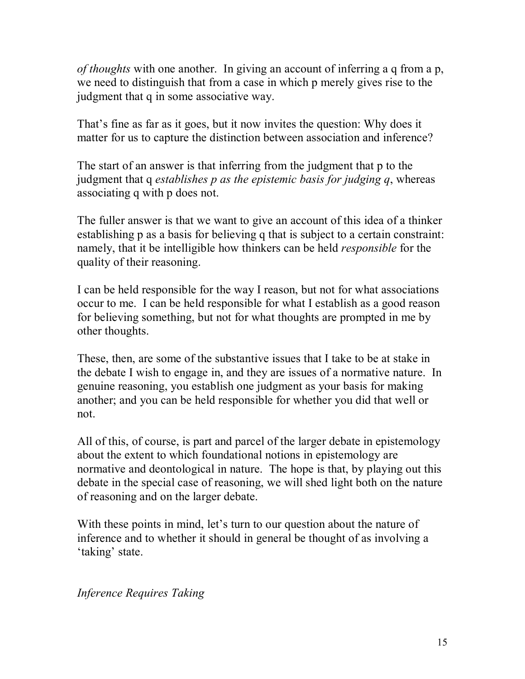*of thoughts* with one another. In giving an account of inferring a q from a p, we need to distinguish that from a case in which p merely gives rise to the judgment that q in some associative way.

That's fine as far as it goes, but it now invites the question: Why does it matter for us to capture the distinction between association and inference?

The start of an answer is that inferring from the judgment that p to the judgment that q *establishes p as the epistemic basis for judging q*, whereas associating q with p does not.

The fuller answer is that we want to give an account of this idea of a thinker establishing p as a basis for believing q that is subject to a certain constraint: namely, that it be intelligible how thinkers can be held *responsible* for the quality of their reasoning.

I can be held responsible for the way I reason, but not for what associations occur to me. I can be held responsible for what I establish as a good reason for believing something, but not for what thoughts are prompted in me by other thoughts.

These, then, are some of the substantive issues that I take to be at stake in the debate I wish to engage in, and they are issues of a normative nature. In genuine reasoning, you establish one judgment as your basis for making another; and you can be held responsible for whether you did that well or not.

All of this, of course, is part and parcel of the larger debate in epistemology about the extent to which foundational notions in epistemology are normative and deontological in nature. The hope is that, by playing out this debate in the special case of reasoning, we will shed light both on the nature of reasoning and on the larger debate.

With these points in mind, let's turn to our question about the nature of inference and to whether it should in general be thought of as involving a 'taking' state.

*Inference Requires Taking*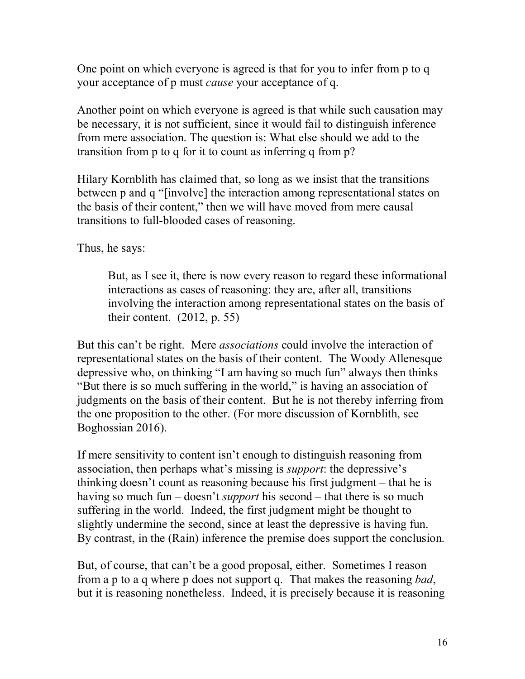One point on which everyone is agreed is that for you to infer from p to q your acceptance of p must *cause* your acceptance of q.

Another point on which everyone is agreed is that while such causation may be necessary, it is not sufficient, since it would fail to distinguish inference from mere association. The question is: What else should we add to the transition from p to q for it to count as inferring q from p?

Hilary Kornblith has claimed that, so long as we insist that the transitions between p and q "[involve] the interaction among representational states on the basis of their content," then we will have moved from mere causal transitions to full-blooded cases of reasoning.

Thus, he says:

But, as I see it, there is now every reason to regard these informational interactions as cases of reasoning: they are, after all, transitions involving the interaction among representational states on the basis of their content. (2012, p. 55)

But this can't be right. Mere *associations* could involve the interaction of representational states on the basis of their content. The Woody Allenesque depressive who, on thinking "I am having so much fun" always then thinks "But there is so much suffering in the world," is having an association of judgments on the basis of their content. But he is not thereby inferring from the one proposition to the other. (For more discussion of Kornblith, see Boghossian 2016).

If mere sensitivity to content isn't enough to distinguish reasoning from association, then perhaps what's missing is *support*: the depressive's thinking doesn't count as reasoning because his first judgment – that he is having so much fun – doesn't *support* his second – that there is so much suffering in the world. Indeed, the first judgment might be thought to slightly undermine the second, since at least the depressive is having fun. By contrast, in the (Rain) inference the premise does support the conclusion.

But, of course, that can't be a good proposal, either. Sometimes I reason from a p to a q where p does not support q. That makes the reasoning *bad*, but it is reasoning nonetheless. Indeed, it is precisely because it is reasoning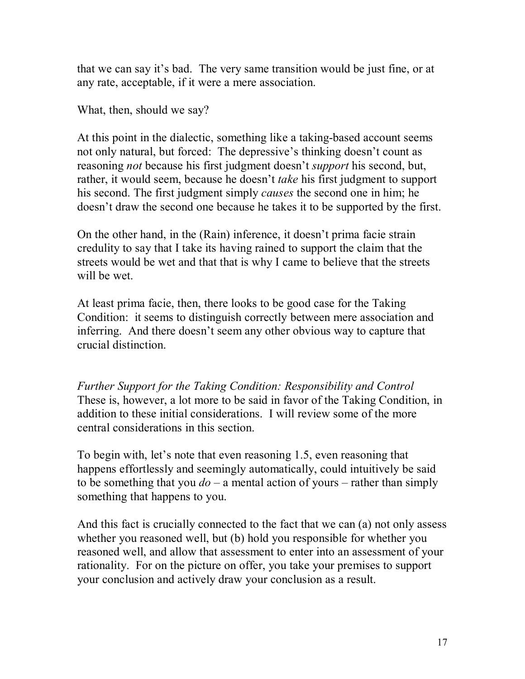that we can say it's bad. The very same transition would be just fine, or at any rate, acceptable, if it were a mere association.

What, then, should we say?

At this point in the dialectic, something like a taking-based account seems not only natural, but forced: The depressive's thinking doesn't count as reasoning *not* because his first judgment doesn't *support* his second, but, rather, it would seem, because he doesn't *take* his first judgment to support his second. The first judgment simply *causes* the second one in him; he doesn't draw the second one because he takes it to be supported by the first.

On the other hand, in the (Rain) inference, it doesn't prima facie strain credulity to say that I take its having rained to support the claim that the streets would be wet and that that is why I came to believe that the streets will be wet.

At least prima facie, then, there looks to be good case for the Taking Condition: it seems to distinguish correctly between mere association and inferring. And there doesn't seem any other obvious way to capture that crucial distinction.

*Further Support for the Taking Condition: Responsibility and Control* These is, however, a lot more to be said in favor of the Taking Condition, in addition to these initial considerations. I will review some of the more central considerations in this section.

To begin with, let's note that even reasoning 1.5, even reasoning that happens effortlessly and seemingly automatically, could intuitively be said to be something that you *do* – a mental action of yours – rather than simply something that happens to you.

And this fact is crucially connected to the fact that we can (a) not only assess whether you reasoned well, but (b) hold you responsible for whether you reasoned well, and allow that assessment to enter into an assessment of your rationality. For on the picture on offer, you take your premises to support your conclusion and actively draw your conclusion as a result.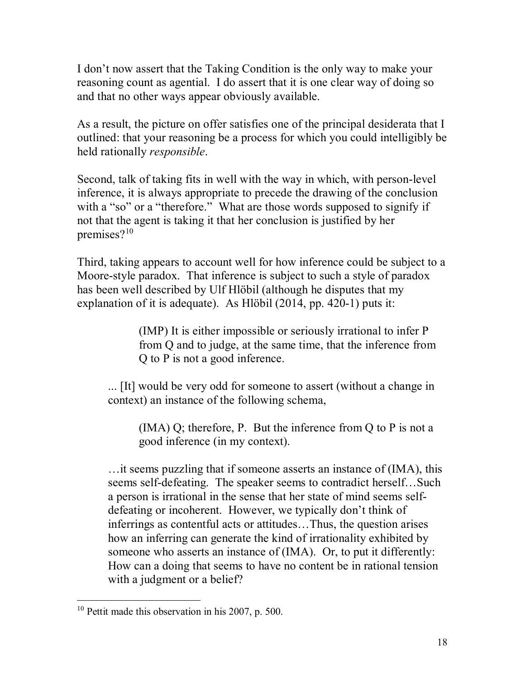I don't now assert that the Taking Condition is the only way to make your reasoning count as agential. I do assert that it is one clear way of doing so and that no other ways appear obviously available.

As a result, the picture on offer satisfies one of the principal desiderata that I outlined: that your reasoning be a process for which you could intelligibly be held rationally *responsible*.

Second, talk of taking fits in well with the way in which, with person-level inference, it is always appropriate to precede the drawing of the conclusion with a "so" or a "therefore." What are those words supposed to signify if not that the agent is taking it that her conclusion is justified by her premises?[10](#page-17-0)

Third, taking appears to account well for how inference could be subject to a Moore-style paradox. That inference is subject to such a style of paradox has been well described by Ulf Hlöbil (although he disputes that my explanation of it is adequate). As Hlöbil (2014, pp. 420-1) puts it:

> (IMP) It is either impossible or seriously irrational to infer P from Q and to judge, at the same time, that the inference from Q to P is not a good inference.

... [It] would be very odd for someone to assert (without a change in context) an instance of the following schema,

(IMA)  $Q$ ; therefore, P. But the inference from  $Q$  to P is not a good inference (in my context).

…it seems puzzling that if someone asserts an instance of (IMA), this seems self-defeating. The speaker seems to contradict herself…Such a person is irrational in the sense that her state of mind seems selfdefeating or incoherent. However, we typically don't think of inferrings as contentful acts or attitudes…Thus, the question arises how an inferring can generate the kind of irrationality exhibited by someone who asserts an instance of (IMA). Or, to put it differently: How can a doing that seems to have no content be in rational tension with a judgment or a belief?

<span id="page-17-0"></span> <sup>10</sup> Pettit made this observation in his 2007, p. 500.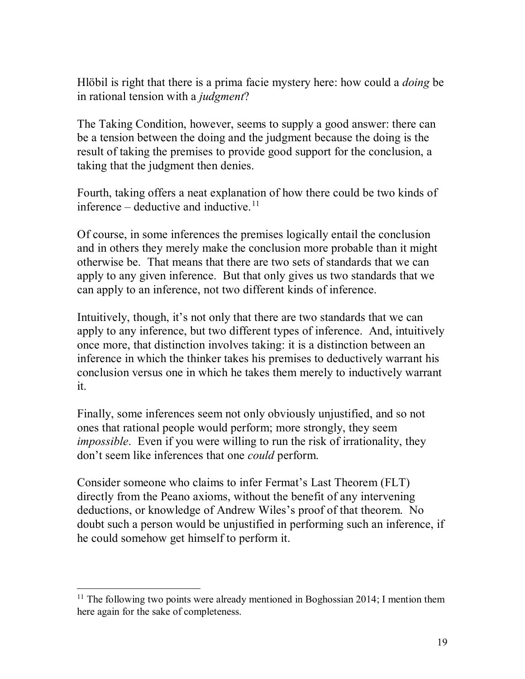Hlöbil is right that there is a prima facie mystery here: how could a *doing* be in rational tension with a *judgment*?

The Taking Condition, however, seems to supply a good answer: there can be a tension between the doing and the judgment because the doing is the result of taking the premises to provide good support for the conclusion, a taking that the judgment then denies.

Fourth, taking offers a neat explanation of how there could be two kinds of inference – deductive and inductive. [11](#page-18-0)

Of course, in some inferences the premises logically entail the conclusion and in others they merely make the conclusion more probable than it might otherwise be. That means that there are two sets of standards that we can apply to any given inference. But that only gives us two standards that we can apply to an inference, not two different kinds of inference.

Intuitively, though, it's not only that there are two standards that we can apply to any inference, but two different types of inference. And, intuitively once more, that distinction involves taking: it is a distinction between an inference in which the thinker takes his premises to deductively warrant his conclusion versus one in which he takes them merely to inductively warrant it.

Finally, some inferences seem not only obviously unjustified, and so not ones that rational people would perform; more strongly, they seem *impossible*. Even if you were willing to run the risk of irrationality, they don't seem like inferences that one *could* perform.

Consider someone who claims to infer Fermat's Last Theorem (FLT) directly from the Peano axioms, without the benefit of any intervening deductions, or knowledge of Andrew Wiles's proof of that theorem. No doubt such a person would be unjustified in performing such an inference, if he could somehow get himself to perform it.

<span id="page-18-0"></span> $11$  The following two points were already mentioned in Boghossian 2014; I mention them here again for the sake of completeness.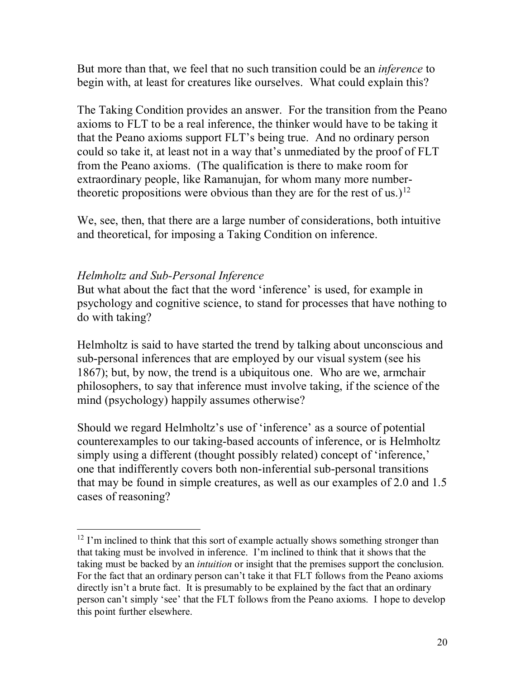But more than that, we feel that no such transition could be an *inference* to begin with, at least for creatures like ourselves. What could explain this?

The Taking Condition provides an answer. For the transition from the Peano axioms to FLT to be a real inference, the thinker would have to be taking it that the Peano axioms support FLT's being true. And no ordinary person could so take it, at least not in a way that's unmediated by the proof of FLT from the Peano axioms. (The qualification is there to make room for extraordinary people, like Ramanujan, for whom many more number-theoretic propositions were obvious than they are for the rest of us.)<sup>[12](#page-19-0)</sup>

We, see, then, that there are a large number of considerations, both intuitive and theoretical, for imposing a Taking Condition on inference.

## *Helmholtz and Sub-Personal Inference*

But what about the fact that the word 'inference' is used, for example in psychology and cognitive science, to stand for processes that have nothing to do with taking?

Helmholtz is said to have started the trend by talking about unconscious and sub-personal inferences that are employed by our visual system (see his 1867); but, by now, the trend is a ubiquitous one. Who are we, armchair philosophers, to say that inference must involve taking, if the science of the mind (psychology) happily assumes otherwise?

Should we regard Helmholtz's use of 'inference' as a source of potential counterexamples to our taking-based accounts of inference, or is Helmholtz simply using a different (thought possibly related) concept of 'inference,' one that indifferently covers both non-inferential sub-personal transitions that may be found in simple creatures, as well as our examples of 2.0 and 1.5 cases of reasoning?

<span id="page-19-0"></span> $12$  I'm inclined to think that this sort of example actually shows something stronger than that taking must be involved in inference. I'm inclined to think that it shows that the taking must be backed by an *intuition* or insight that the premises support the conclusion. For the fact that an ordinary person can't take it that FLT follows from the Peano axioms directly isn't a brute fact. It is presumably to be explained by the fact that an ordinary person can't simply 'see' that the FLT follows from the Peano axioms. I hope to develop this point further elsewhere.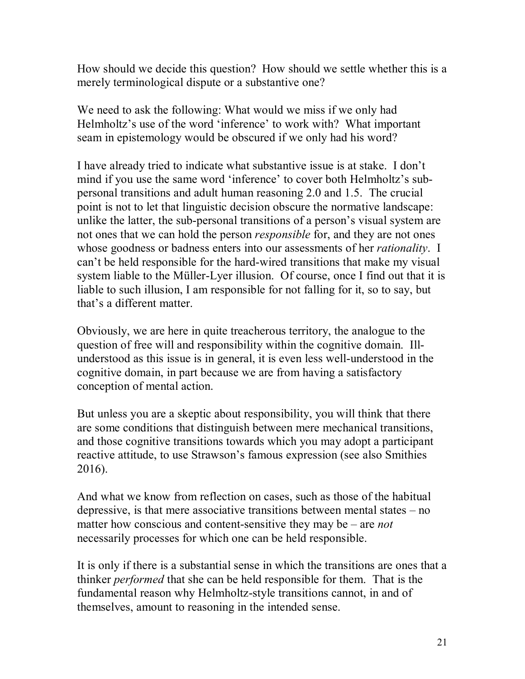How should we decide this question? How should we settle whether this is a merely terminological dispute or a substantive one?

We need to ask the following: What would we miss if we only had Helmholtz's use of the word 'inference' to work with? What important seam in epistemology would be obscured if we only had his word?

I have already tried to indicate what substantive issue is at stake. I don't mind if you use the same word 'inference' to cover both Helmholtz's subpersonal transitions and adult human reasoning 2.0 and 1.5. The crucial point is not to let that linguistic decision obscure the normative landscape: unlike the latter, the sub-personal transitions of a person's visual system are not ones that we can hold the person *responsible* for, and they are not ones whose goodness or badness enters into our assessments of her *rationality*. I can't be held responsible for the hard-wired transitions that make my visual system liable to the Müller-Lyer illusion. Of course, once I find out that it is liable to such illusion, I am responsible for not falling for it, so to say, but that's a different matter.

Obviously, we are here in quite treacherous territory, the analogue to the question of free will and responsibility within the cognitive domain. Illunderstood as this issue is in general, it is even less well-understood in the cognitive domain, in part because we are from having a satisfactory conception of mental action.

But unless you are a skeptic about responsibility, you will think that there are some conditions that distinguish between mere mechanical transitions, and those cognitive transitions towards which you may adopt a participant reactive attitude, to use Strawson's famous expression (see also Smithies 2016).

And what we know from reflection on cases, such as those of the habitual depressive, is that mere associative transitions between mental states – no matter how conscious and content-sensitive they may be – are *not* necessarily processes for which one can be held responsible.

It is only if there is a substantial sense in which the transitions are ones that a thinker *performed* that she can be held responsible for them. That is the fundamental reason why Helmholtz-style transitions cannot, in and of themselves, amount to reasoning in the intended sense.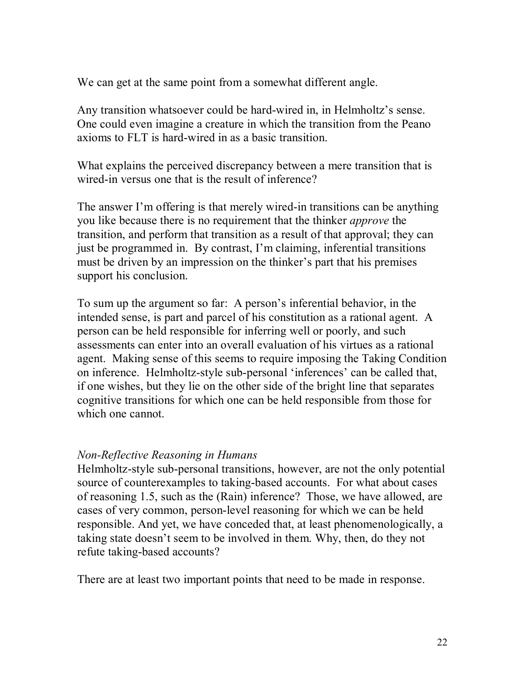We can get at the same point from a somewhat different angle.

Any transition whatsoever could be hard-wired in, in Helmholtz's sense. One could even imagine a creature in which the transition from the Peano axioms to FLT is hard-wired in as a basic transition.

What explains the perceived discrepancy between a mere transition that is wired-in versus one that is the result of inference?

The answer I'm offering is that merely wired-in transitions can be anything you like because there is no requirement that the thinker *approve* the transition, and perform that transition as a result of that approval; they can just be programmed in. By contrast, I'm claiming, inferential transitions must be driven by an impression on the thinker's part that his premises support his conclusion.

To sum up the argument so far: A person's inferential behavior, in the intended sense, is part and parcel of his constitution as a rational agent. A person can be held responsible for inferring well or poorly, and such assessments can enter into an overall evaluation of his virtues as a rational agent. Making sense of this seems to require imposing the Taking Condition on inference. Helmholtz-style sub-personal 'inferences' can be called that, if one wishes, but they lie on the other side of the bright line that separates cognitive transitions for which one can be held responsible from those for which one cannot.

## *Non-Reflective Reasoning in Humans*

Helmholtz-style sub-personal transitions, however, are not the only potential source of counterexamples to taking-based accounts. For what about cases of reasoning 1.5, such as the (Rain) inference? Those, we have allowed, are cases of very common, person-level reasoning for which we can be held responsible. And yet, we have conceded that, at least phenomenologically, a taking state doesn't seem to be involved in them. Why, then, do they not refute taking-based accounts?

There are at least two important points that need to be made in response.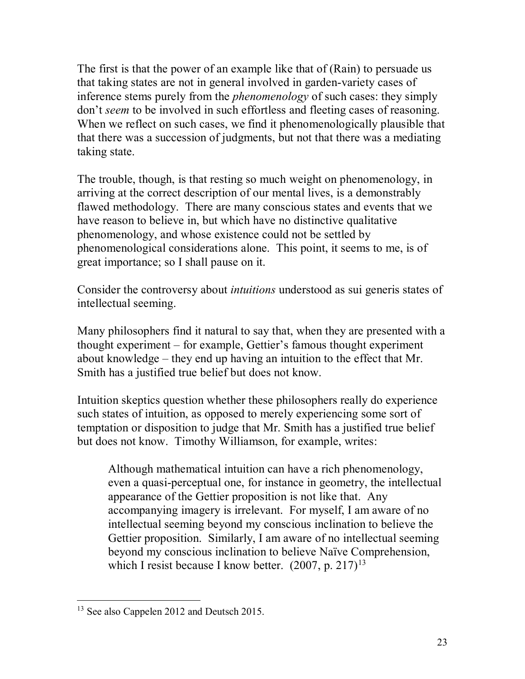The first is that the power of an example like that of (Rain) to persuade us that taking states are not in general involved in garden-variety cases of inference stems purely from the *phenomenology* of such cases: they simply don't *seem* to be involved in such effortless and fleeting cases of reasoning. When we reflect on such cases, we find it phenomenologically plausible that that there was a succession of judgments, but not that there was a mediating taking state.

The trouble, though, is that resting so much weight on phenomenology, in arriving at the correct description of our mental lives, is a demonstrably flawed methodology. There are many conscious states and events that we have reason to believe in, but which have no distinctive qualitative phenomenology, and whose existence could not be settled by phenomenological considerations alone. This point, it seems to me, is of great importance; so I shall pause on it.

Consider the controversy about *intuitions* understood as sui generis states of intellectual seeming.

Many philosophers find it natural to say that, when they are presented with a thought experiment – for example, Gettier's famous thought experiment about knowledge – they end up having an intuition to the effect that Mr. Smith has a justified true belief but does not know.

Intuition skeptics question whether these philosophers really do experience such states of intuition, as opposed to merely experiencing some sort of temptation or disposition to judge that Mr. Smith has a justified true belief but does not know. Timothy Williamson, for example, writes:

Although mathematical intuition can have a rich phenomenology, even a quasi-perceptual one, for instance in geometry, the intellectual appearance of the Gettier proposition is not like that. Any accompanying imagery is irrelevant. For myself, I am aware of no intellectual seeming beyond my conscious inclination to believe the Gettier proposition. Similarly, I am aware of no intellectual seeming beyond my conscious inclination to believe Naïve Comprehension, which I resist because I know better.  $(2007, p. 217)^{13}$  $(2007, p. 217)^{13}$  $(2007, p. 217)^{13}$ 

<span id="page-22-0"></span><sup>&</sup>lt;sup>13</sup> See also Cappelen 2012 and Deutsch 2015.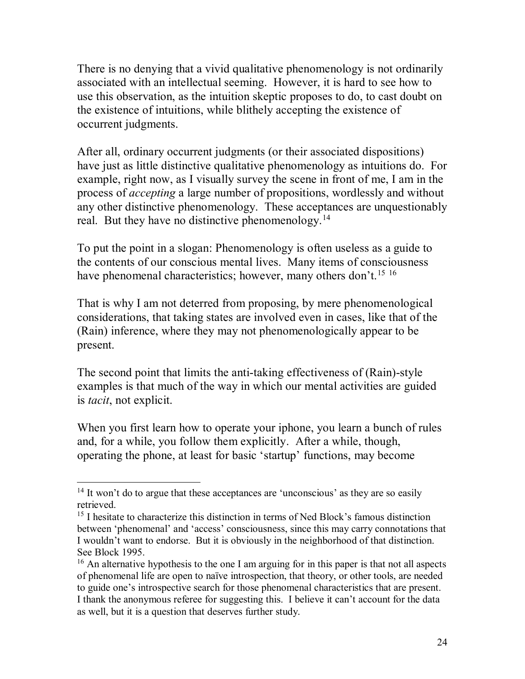There is no denying that a vivid qualitative phenomenology is not ordinarily associated with an intellectual seeming. However, it is hard to see how to use this observation, as the intuition skeptic proposes to do, to cast doubt on the existence of intuitions, while blithely accepting the existence of occurrent judgments.

After all, ordinary occurrent judgments (or their associated dispositions) have just as little distinctive qualitative phenomenology as intuitions do. For example, right now, as I visually survey the scene in front of me, I am in the process of *accepting* a large number of propositions, wordlessly and without any other distinctive phenomenology. These acceptances are unquestionably real. But they have no distinctive phenomenology.<sup>[14](#page-23-0)</sup>

To put the point in a slogan: Phenomenology is often useless as a guide to the contents of our conscious mental lives. Many items of consciousness have phenomenal characteristics; however, many others don't.<sup>[15](#page-23-1) [16](#page-23-2)</sup>

That is why I am not deterred from proposing, by mere phenomenological considerations, that taking states are involved even in cases, like that of the (Rain) inference, where they may not phenomenologically appear to be present.

The second point that limits the anti-taking effectiveness of (Rain)-style examples is that much of the way in which our mental activities are guided is *tacit*, not explicit.

When you first learn how to operate your iphone, you learn a bunch of rules and, for a while, you follow them explicitly. After a while, though, operating the phone, at least for basic 'startup' functions, may become

<span id="page-23-0"></span><sup>&</sup>lt;sup>14</sup> It won't do to argue that these acceptances are 'unconscious' as they are so easily retrieved.

<span id="page-23-1"></span><sup>&</sup>lt;sup>15</sup> I hesitate to characterize this distinction in terms of Ned Block's famous distinction between 'phenomenal' and 'access' consciousness, since this may carry connotations that I wouldn't want to endorse. But it is obviously in the neighborhood of that distinction. See Block 1995.

<span id="page-23-2"></span> $16$  An alternative hypothesis to the one I am arguing for in this paper is that not all aspects of phenomenal life are open to naïve introspection, that theory, or other tools, are needed to guide one's introspective search for those phenomenal characteristics that are present. I thank the anonymous referee for suggesting this. I believe it can't account for the data as well, but it is a question that deserves further study.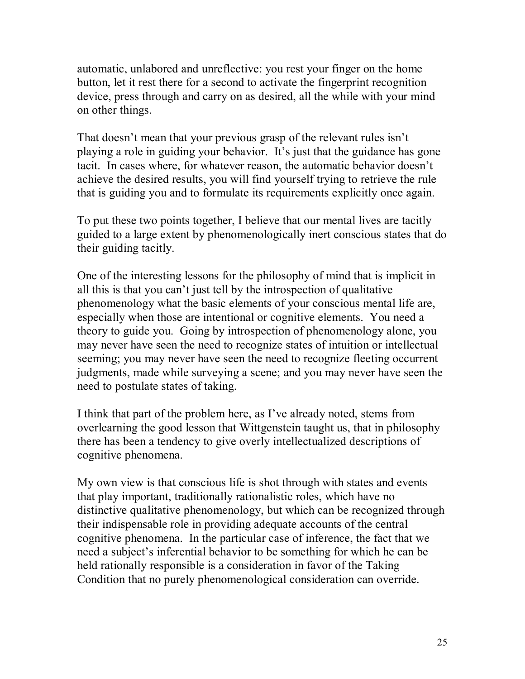automatic, unlabored and unreflective: you rest your finger on the home button, let it rest there for a second to activate the fingerprint recognition device, press through and carry on as desired, all the while with your mind on other things.

That doesn't mean that your previous grasp of the relevant rules isn't playing a role in guiding your behavior. It's just that the guidance has gone tacit. In cases where, for whatever reason, the automatic behavior doesn't achieve the desired results, you will find yourself trying to retrieve the rule that is guiding you and to formulate its requirements explicitly once again.

To put these two points together, I believe that our mental lives are tacitly guided to a large extent by phenomenologically inert conscious states that do their guiding tacitly.

One of the interesting lessons for the philosophy of mind that is implicit in all this is that you can't just tell by the introspection of qualitative phenomenology what the basic elements of your conscious mental life are, especially when those are intentional or cognitive elements. You need a theory to guide you. Going by introspection of phenomenology alone, you may never have seen the need to recognize states of intuition or intellectual seeming; you may never have seen the need to recognize fleeting occurrent judgments, made while surveying a scene; and you may never have seen the need to postulate states of taking.

I think that part of the problem here, as I've already noted, stems from overlearning the good lesson that Wittgenstein taught us, that in philosophy there has been a tendency to give overly intellectualized descriptions of cognitive phenomena.

My own view is that conscious life is shot through with states and events that play important, traditionally rationalistic roles, which have no distinctive qualitative phenomenology, but which can be recognized through their indispensable role in providing adequate accounts of the central cognitive phenomena. In the particular case of inference, the fact that we need a subject's inferential behavior to be something for which he can be held rationally responsible is a consideration in favor of the Taking Condition that no purely phenomenological consideration can override.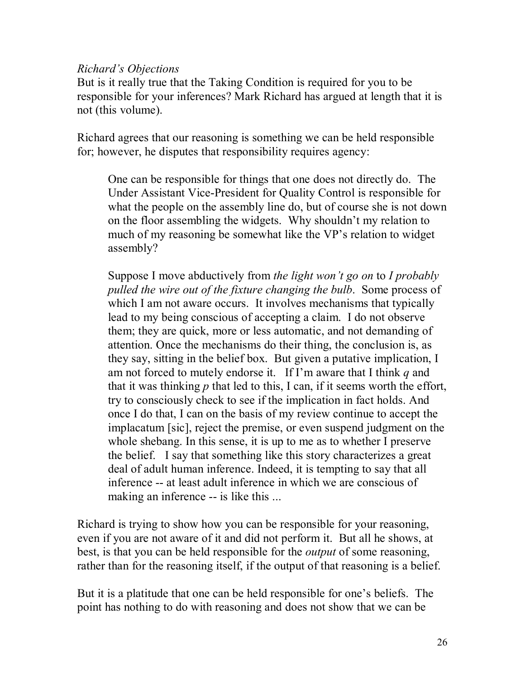#### *Richard's Objections*

But is it really true that the Taking Condition is required for you to be responsible for your inferences? Mark Richard has argued at length that it is not (this volume).

Richard agrees that our reasoning is something we can be held responsible for; however, he disputes that responsibility requires agency:

One can be responsible for things that one does not directly do. The Under Assistant Vice-President for Quality Control is responsible for what the people on the assembly line do, but of course she is not down on the floor assembling the widgets. Why shouldn't my relation to much of my reasoning be somewhat like the VP's relation to widget assembly?

Suppose I move abductively from *the light won't go on* to *I probably pulled the wire out of the fixture changing the bulb*. Some process of which I am not aware occurs. It involves mechanisms that typically lead to my being conscious of accepting a claim. I do not observe them; they are quick, more or less automatic, and not demanding of attention. Once the mechanisms do their thing, the conclusion is, as they say, sitting in the belief box. But given a putative implication, I am not forced to mutely endorse it. If I'm aware that I think *q* and that it was thinking *p* that led to this, I can, if it seems worth the effort, try to consciously check to see if the implication in fact holds. And once I do that, I can on the basis of my review continue to accept the implacatum [sic], reject the premise, or even suspend judgment on the whole shebang. In this sense, it is up to me as to whether I preserve the belief. I say that something like this story characterizes a great deal of adult human inference. Indeed, it is tempting to say that all inference -- at least adult inference in which we are conscious of making an inference -- is like this ...

Richard is trying to show how you can be responsible for your reasoning, even if you are not aware of it and did not perform it. But all he shows, at best, is that you can be held responsible for the *output* of some reasoning, rather than for the reasoning itself, if the output of that reasoning is a belief.

But it is a platitude that one can be held responsible for one's beliefs. The point has nothing to do with reasoning and does not show that we can be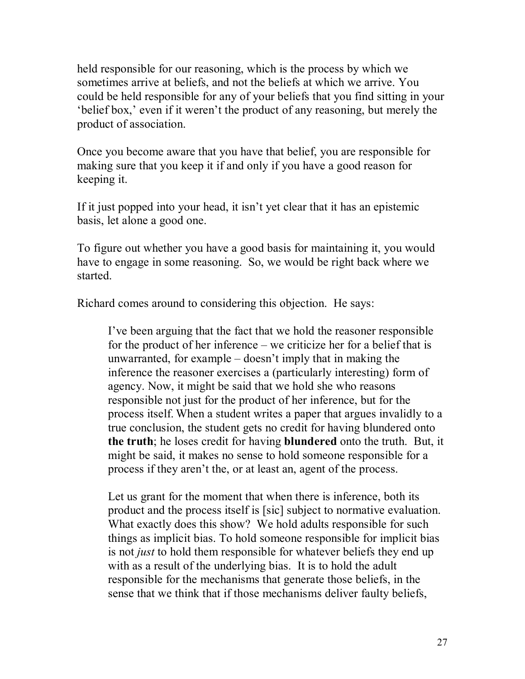held responsible for our reasoning, which is the process by which we sometimes arrive at beliefs, and not the beliefs at which we arrive. You could be held responsible for any of your beliefs that you find sitting in your 'belief box,' even if it weren't the product of any reasoning, but merely the product of association.

Once you become aware that you have that belief, you are responsible for making sure that you keep it if and only if you have a good reason for keeping it.

If it just popped into your head, it isn't yet clear that it has an epistemic basis, let alone a good one.

To figure out whether you have a good basis for maintaining it, you would have to engage in some reasoning. So, we would be right back where we started.

Richard comes around to considering this objection. He says:

I've been arguing that the fact that we hold the reasoner responsible for the product of her inference – we criticize her for a belief that is unwarranted, for example – doesn't imply that in making the inference the reasoner exercises a (particularly interesting) form of agency. Now, it might be said that we hold she who reasons responsible not just for the product of her inference, but for the process itself. When a student writes a paper that argues invalidly to a true conclusion, the student gets no credit for having blundered onto **the truth**; he loses credit for having **blundered** onto the truth. But, it might be said, it makes no sense to hold someone responsible for a process if they aren't the, or at least an, agent of the process.

Let us grant for the moment that when there is inference, both its product and the process itself is [sic] subject to normative evaluation. What exactly does this show? We hold adults responsible for such things as implicit bias. To hold someone responsible for implicit bias is not *just* to hold them responsible for whatever beliefs they end up with as a result of the underlying bias. It is to hold the adult responsible for the mechanisms that generate those beliefs, in the sense that we think that if those mechanisms deliver faulty beliefs,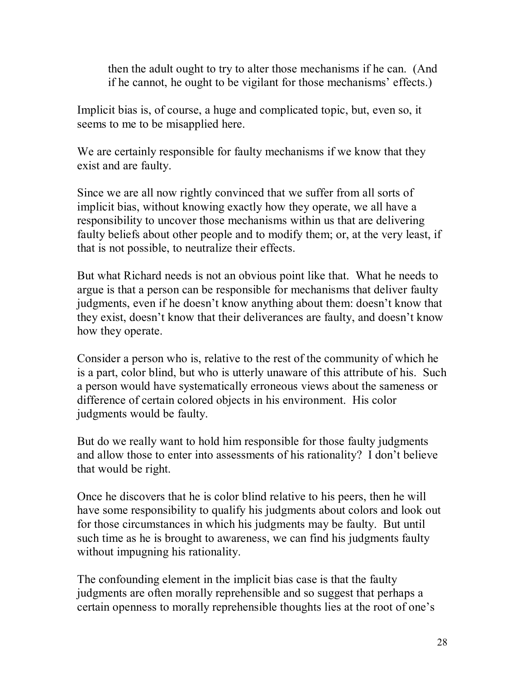then the adult ought to try to alter those mechanisms if he can. (And if he cannot, he ought to be vigilant for those mechanisms' effects.)

Implicit bias is, of course, a huge and complicated topic, but, even so, it seems to me to be misapplied here.

We are certainly responsible for faulty mechanisms if we know that they exist and are faulty.

Since we are all now rightly convinced that we suffer from all sorts of implicit bias, without knowing exactly how they operate, we all have a responsibility to uncover those mechanisms within us that are delivering faulty beliefs about other people and to modify them; or, at the very least, if that is not possible, to neutralize their effects.

But what Richard needs is not an obvious point like that. What he needs to argue is that a person can be responsible for mechanisms that deliver faulty judgments, even if he doesn't know anything about them: doesn't know that they exist, doesn't know that their deliverances are faulty, and doesn't know how they operate.

Consider a person who is, relative to the rest of the community of which he is a part, color blind, but who is utterly unaware of this attribute of his. Such a person would have systematically erroneous views about the sameness or difference of certain colored objects in his environment. His color judgments would be faulty.

But do we really want to hold him responsible for those faulty judgments and allow those to enter into assessments of his rationality? I don't believe that would be right.

Once he discovers that he is color blind relative to his peers, then he will have some responsibility to qualify his judgments about colors and look out for those circumstances in which his judgments may be faulty. But until such time as he is brought to awareness, we can find his judgments faulty without impugning his rationality.

The confounding element in the implicit bias case is that the faulty judgments are often morally reprehensible and so suggest that perhaps a certain openness to morally reprehensible thoughts lies at the root of one's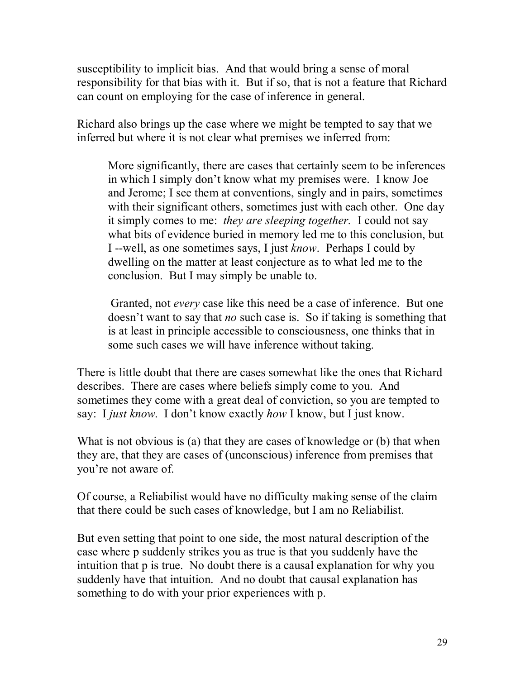susceptibility to implicit bias. And that would bring a sense of moral responsibility for that bias with it. But if so, that is not a feature that Richard can count on employing for the case of inference in general.

Richard also brings up the case where we might be tempted to say that we inferred but where it is not clear what premises we inferred from:

More significantly, there are cases that certainly seem to be inferences in which I simply don't know what my premises were. I know Joe and Jerome; I see them at conventions, singly and in pairs, sometimes with their significant others, sometimes just with each other. One day it simply comes to me: *they are sleeping together.* I could not say what bits of evidence buried in memory led me to this conclusion, but I --well, as one sometimes says, I just *know*. Perhaps I could by dwelling on the matter at least conjecture as to what led me to the conclusion. But I may simply be unable to.

Granted, not *every* case like this need be a case of inference. But one doesn't want to say that *no* such case is. So if taking is something that is at least in principle accessible to consciousness, one thinks that in some such cases we will have inference without taking.

There is little doubt that there are cases somewhat like the ones that Richard describes. There are cases where beliefs simply come to you. And sometimes they come with a great deal of conviction, so you are tempted to say: I *just know*. I don't know exactly *how* I know, but I just know.

What is not obvious is (a) that they are cases of knowledge or (b) that when they are, that they are cases of (unconscious) inference from premises that you're not aware of.

Of course, a Reliabilist would have no difficulty making sense of the claim that there could be such cases of knowledge, but I am no Reliabilist.

But even setting that point to one side, the most natural description of the case where p suddenly strikes you as true is that you suddenly have the intuition that p is true. No doubt there is a causal explanation for why you suddenly have that intuition. And no doubt that causal explanation has something to do with your prior experiences with p.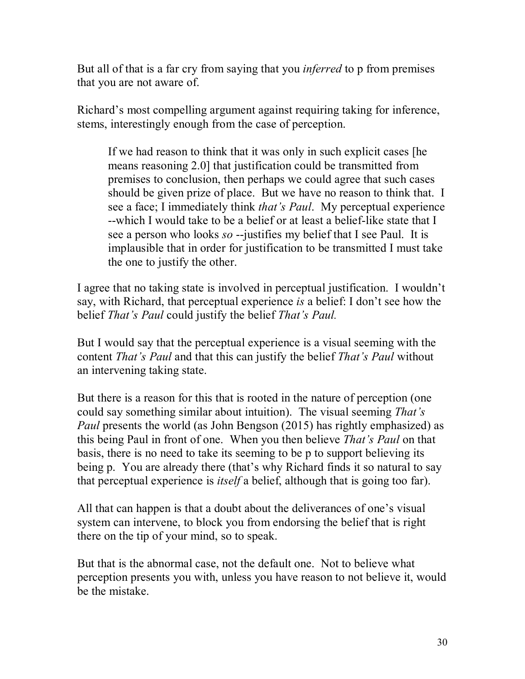But all of that is a far cry from saying that you *inferred* to p from premises that you are not aware of.

Richard's most compelling argument against requiring taking for inference, stems, interestingly enough from the case of perception.

If we had reason to think that it was only in such explicit cases [he means reasoning 2.0] that justification could be transmitted from premises to conclusion, then perhaps we could agree that such cases should be given prize of place. But we have no reason to think that. I see a face; I immediately think *that's Paul*. My perceptual experience --which I would take to be a belief or at least a belief-like state that I see a person who looks *so* --justifies my belief that I see Paul. It is implausible that in order for justification to be transmitted I must take the one to justify the other.

I agree that no taking state is involved in perceptual justification. I wouldn't say, with Richard, that perceptual experience *is* a belief: I don't see how the belief *That's Paul* could justify the belief *That's Paul.* 

But I would say that the perceptual experience is a visual seeming with the content *That's Paul* and that this can justify the belief *That's Paul* without an intervening taking state.

But there is a reason for this that is rooted in the nature of perception (one could say something similar about intuition). The visual seeming *That's Paul* presents the world (as John Bengson (2015) has rightly emphasized) as this being Paul in front of one. When you then believe *That's Paul* on that basis, there is no need to take its seeming to be p to support believing its being p. You are already there (that's why Richard finds it so natural to say that perceptual experience is *itself* a belief, although that is going too far).

All that can happen is that a doubt about the deliverances of one's visual system can intervene, to block you from endorsing the belief that is right there on the tip of your mind, so to speak.

But that is the abnormal case, not the default one. Not to believe what perception presents you with, unless you have reason to not believe it, would be the mistake.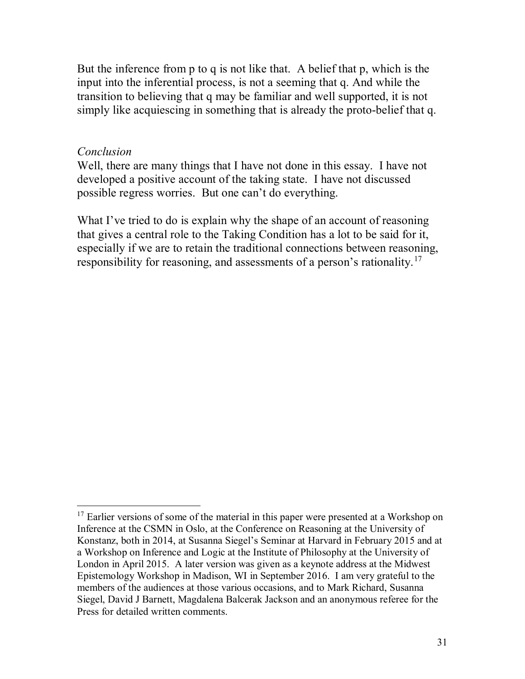But the inference from p to q is not like that. A belief that p, which is the input into the inferential process, is not a seeming that q. And while the transition to believing that q may be familiar and well supported, it is not simply like acquiescing in something that is already the proto-belief that q.

#### *Conclusion*

Well, there are many things that I have not done in this essay. I have not developed a positive account of the taking state. I have not discussed possible regress worries. But one can't do everything.

What I've tried to do is explain why the shape of an account of reasoning that gives a central role to the Taking Condition has a lot to be said for it, especially if we are to retain the traditional connections between reasoning, responsibility for reasoning, and assessments of a person's rationality.<sup>[17](#page-30-0)</sup>

<span id="page-30-0"></span> $17$  Earlier versions of some of the material in this paper were presented at a Workshop on Inference at the CSMN in Oslo, at the Conference on Reasoning at the University of Konstanz, both in 2014, at Susanna Siegel's Seminar at Harvard in February 2015 and at a Workshop on Inference and Logic at the Institute of Philosophy at the University of London in April 2015. A later version was given as a keynote address at the Midwest Epistemology Workshop in Madison, WI in September 2016. I am very grateful to the members of the audiences at those various occasions, and to Mark Richard, Susanna Siegel, David J Barnett, Magdalena Balcerak Jackson and an anonymous referee for the Press for detailed written comments.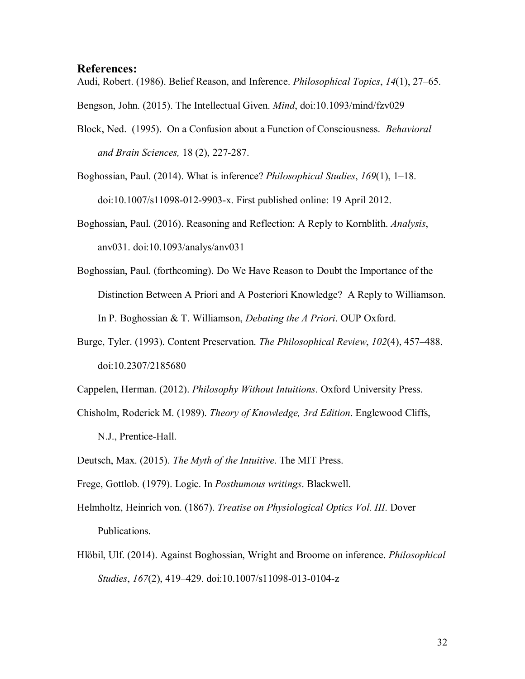#### **References:**

Audi, Robert. (1986). Belief Reason, and Inference. *Philosophical Topics*, *14*(1), 27–65.

Bengson, John. (2015). The Intellectual Given. *Mind*, doi:10.1093/mind/fzv029

- Block, Ned. (1995). On a Confusion about a Function of Consciousness. *Behavioral and Brain Sciences,* 18 (2), 227-287.
- Boghossian, Paul. (2014). What is inference? *Philosophical Studies*, *169*(1), 1–18. doi:10.1007/s11098-012-9903-x. First published online: 19 April 2012.
- Boghossian, Paul. (2016). Reasoning and Reflection: A Reply to Kornblith. *Analysis*, anv031. doi:10.1093/analys/anv031
- Boghossian, Paul. (forthcoming). Do We Have Reason to Doubt the Importance of the Distinction Between A Priori and A Posteriori Knowledge? A Reply to Williamson. In P. Boghossian & T. Williamson, *Debating the A Priori*. OUP Oxford.
- Burge, Tyler. (1993). Content Preservation. *The Philosophical Review*, *102*(4), 457–488. doi:10.2307/2185680
- Cappelen, Herman. (2012). *Philosophy Without Intuitions*. Oxford University Press.
- Chisholm, Roderick M. (1989). *Theory of Knowledge, 3rd Edition*. Englewood Cliffs, N.J., Prentice-Hall.
- Deutsch, Max. (2015). *The Myth of the Intuitive*. The MIT Press.
- Frege, Gottlob. (1979). Logic. In *Posthumous writings*. Blackwell.
- Helmholtz, Heinrich von. (1867). *Treatise on Physiological Optics Vol. III*. Dover Publications.
- Hlöbil, Ulf. (2014). Against Boghossian, Wright and Broome on inference. *Philosophical Studies*, *167*(2), 419–429. doi:10.1007/s11098-013-0104-z